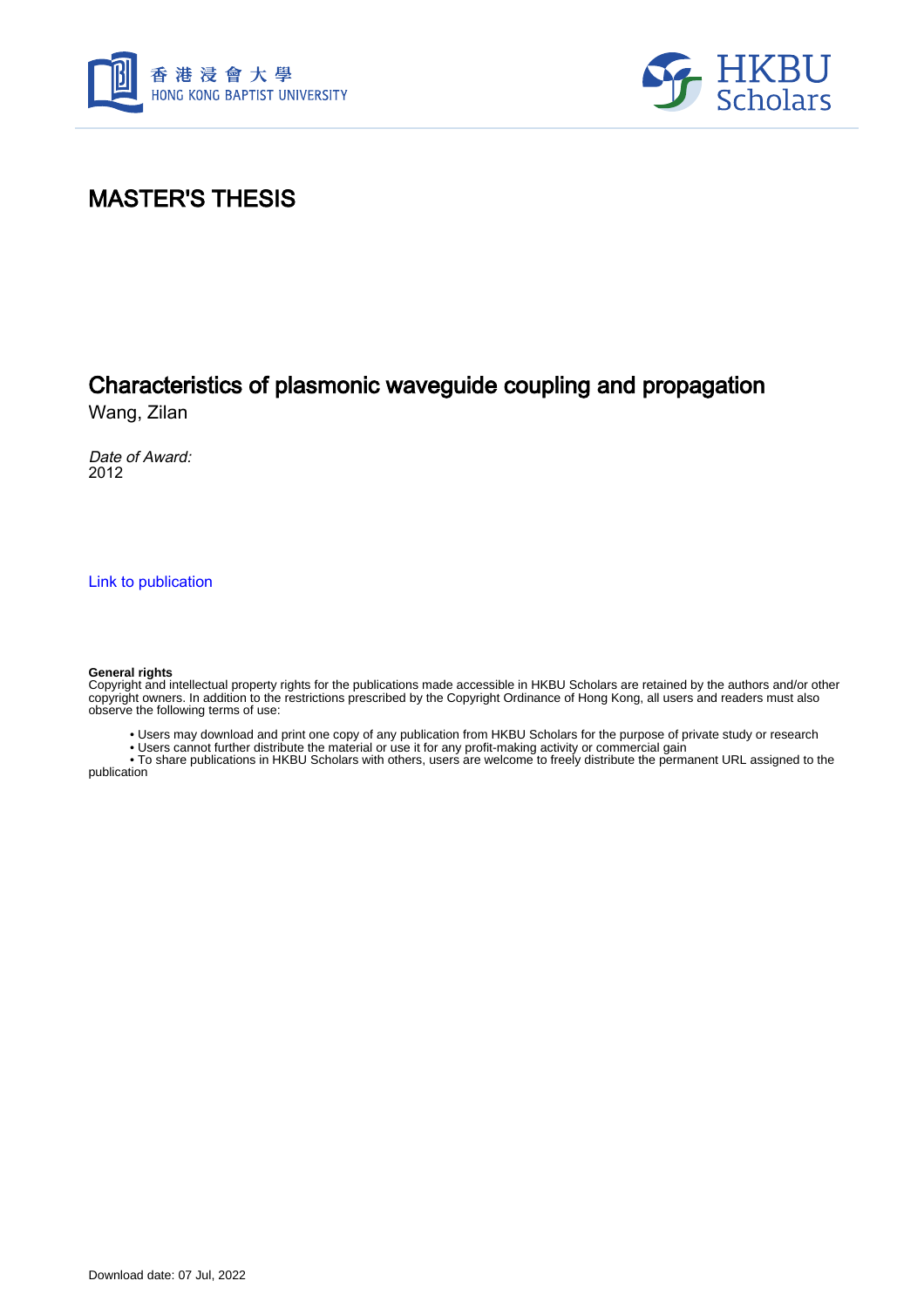



### MASTER'S THESIS

# Characteristics of plasmonic waveguide coupling and propagation

Wang, Zilan

Date of Award: 2012

[Link to publication](https://scholars.hkbu.edu.hk/en/studentTheses/6c3a0478-f463-4812-9fe5-38805579309e)

#### **General rights**

Copyright and intellectual property rights for the publications made accessible in HKBU Scholars are retained by the authors and/or other copyright owners. In addition to the restrictions prescribed by the Copyright Ordinance of Hong Kong, all users and readers must also observe the following terms of use:

• Users may download and print one copy of any publication from HKBU Scholars for the purpose of private study or research

• Users cannot further distribute the material or use it for any profit-making activity or commercial gain

 • To share publications in HKBU Scholars with others, users are welcome to freely distribute the permanent URL assigned to the publication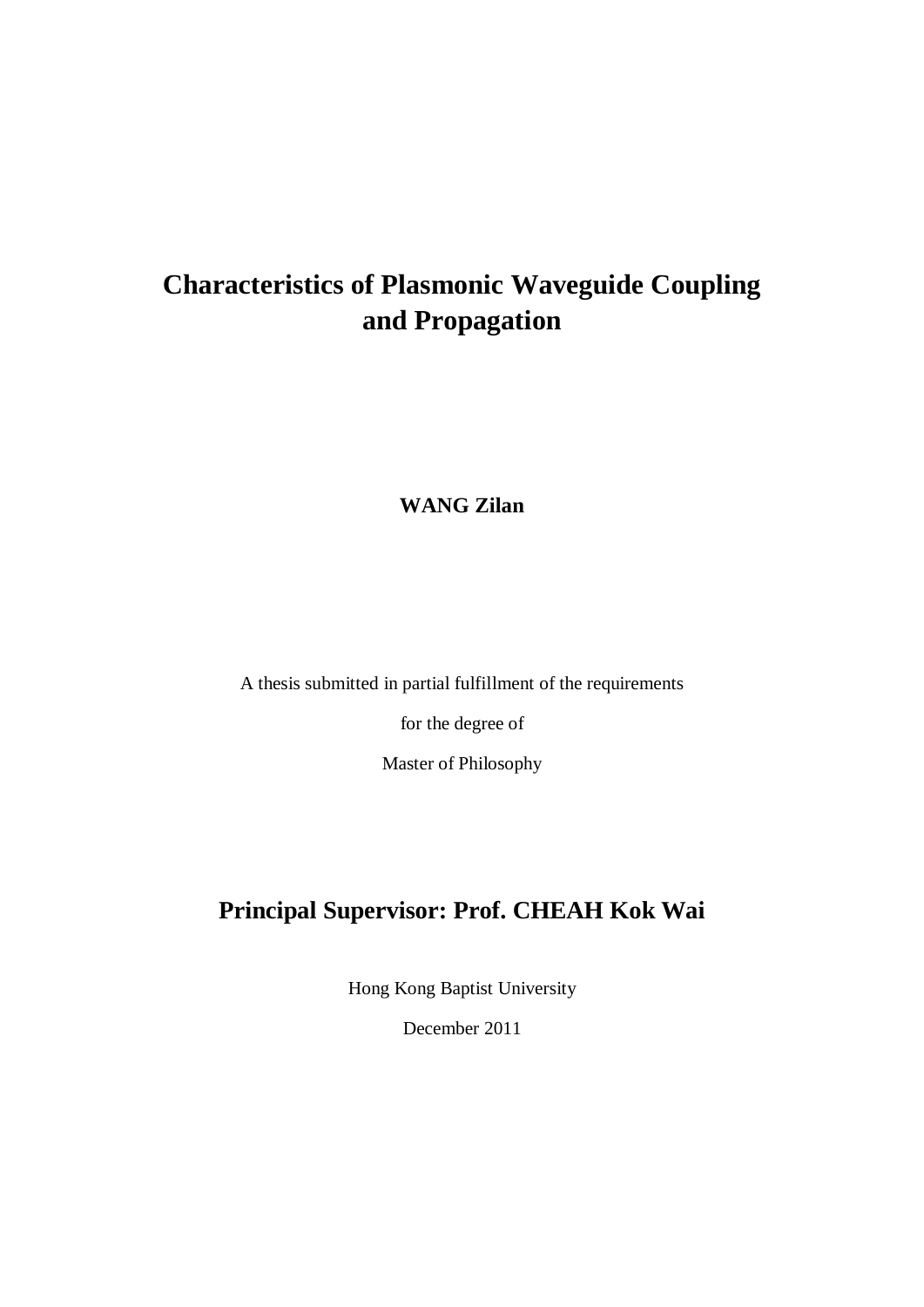# **Characteristics of Plasmonic Waveguide Coupling and Propagation**

**WANG Zilan**

A thesis submitted in partial fulfillment of the requirements

for the degree of

Master of Philosophy

## **Principal Supervisor: Prof. CHEAH Kok Wai**

Hong Kong Baptist University

December 2011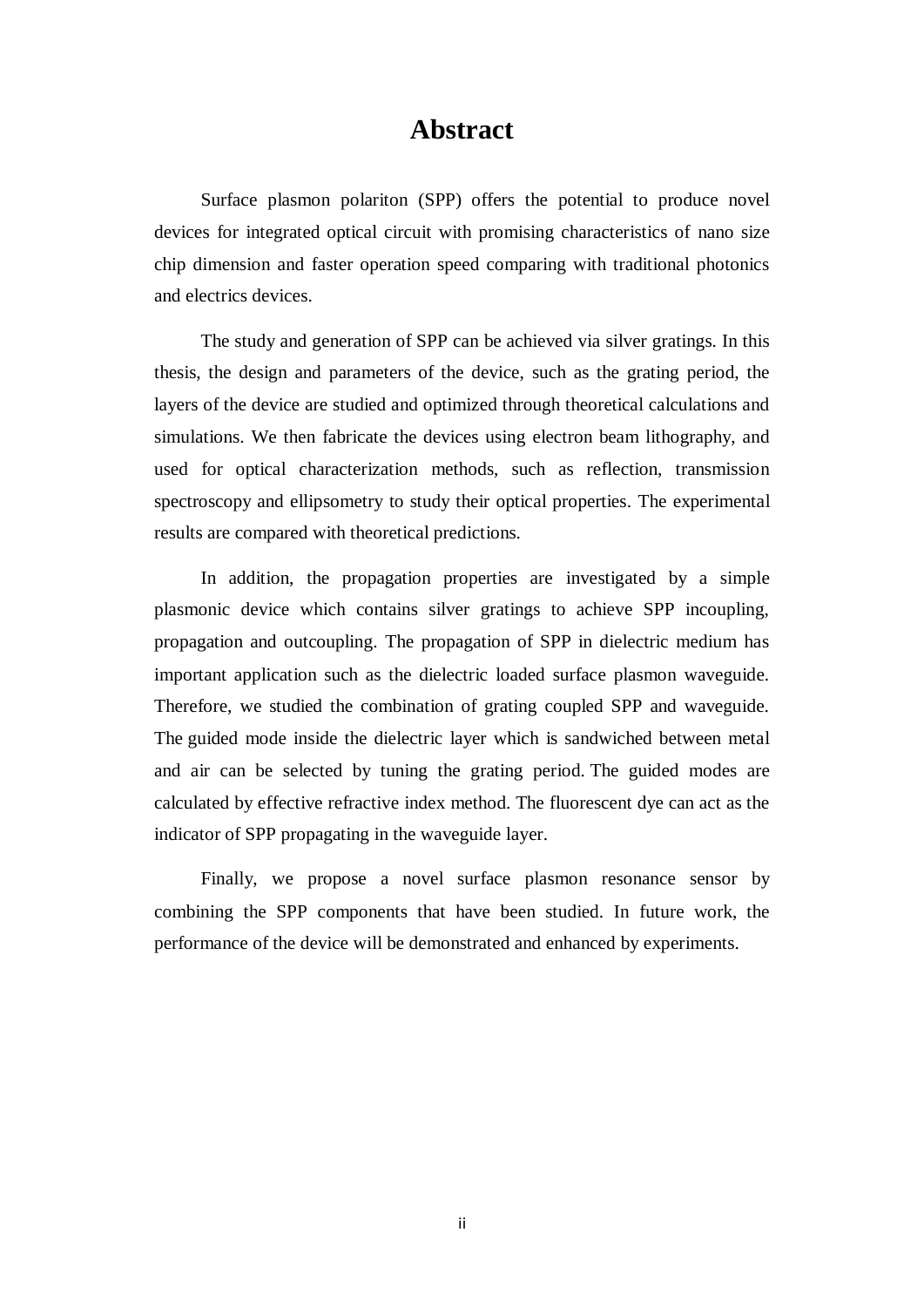#### **Abstract**

Surface plasmon polariton (SPP) offers the potential to produce novel devices for integrated optical circuit with promising characteristics of nano size chip dimension and faster operation speed comparing with traditional photonics and electrics devices.

The study and generation of SPP can be achieved via silver gratings. In this thesis, the design and parameters of the device, such as the grating period, the layers of the device are studied and optimized through theoretical calculations and simulations. We then fabricate the devices using electron beam lithography, and used for optical characterization methods, such as reflection, transmission spectroscopy and ellipsometry to study their optical properties. The experimental results are compared with theoretical predictions.

In addition, the propagation properties are investigated by a simple plasmonic device which contains silver gratings to achieve SPP incoupling, propagation and outcoupling. The propagation of SPP in dielectric medium has important application such as the dielectric loaded surface plasmon waveguide. Therefore, we studied the combination of grating coupled SPP and waveguide. The guided mode inside the dielectric layer which is sandwiched between metal and air can be selected by tuning the grating period. The guided modes are calculated by effective refractive index method. The fluorescent dye can act as the indicator of SPP propagating in the waveguide layer.

Finally, we propose a novel surface plasmon resonance sensor by combining the SPP components that have been studied. In future work, the performance of the device will be demonstrated and enhanced by experiments.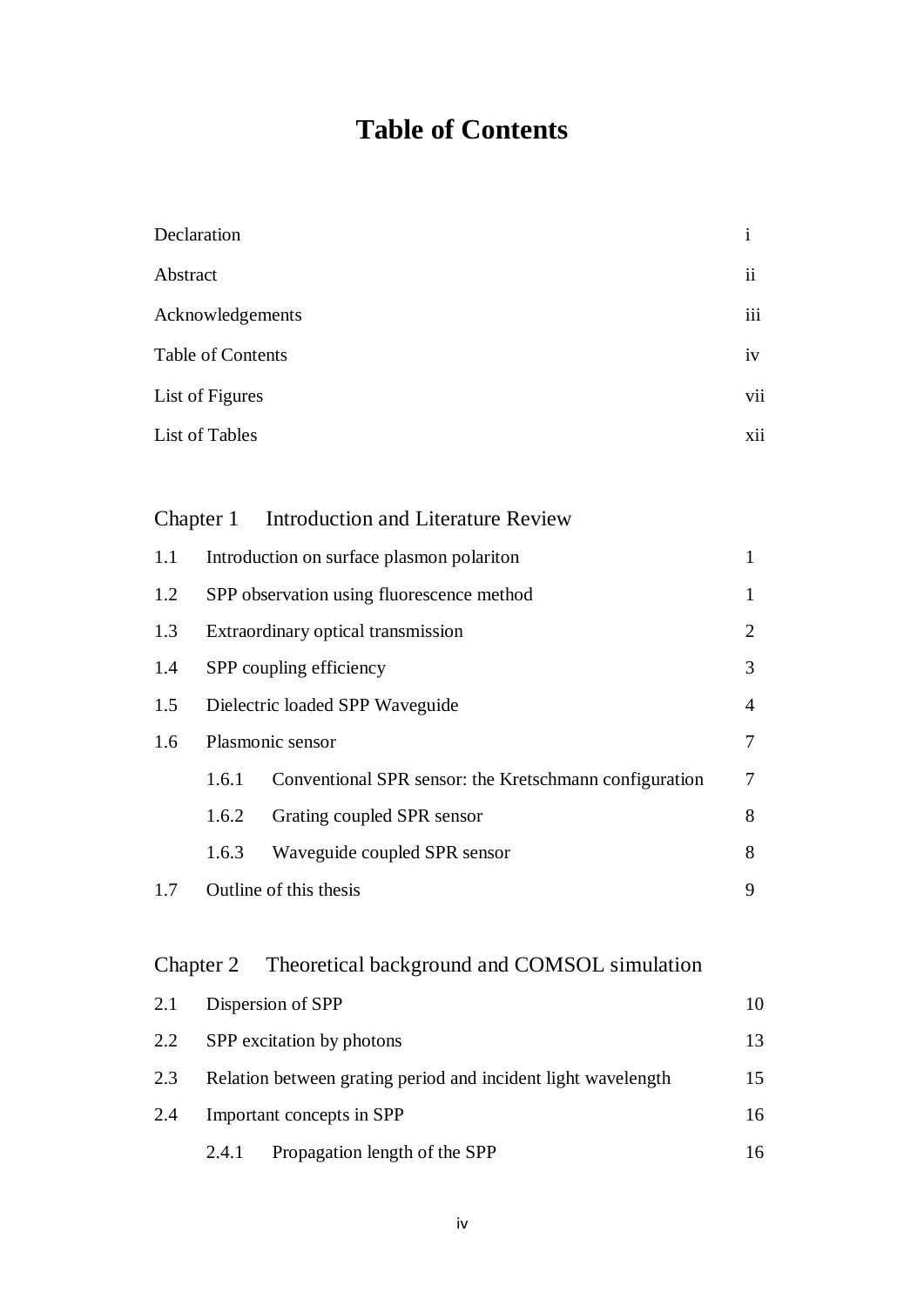# **Table of Contents**

| Declaration       | $\mathbf{1}$   |
|-------------------|----------------|
| Abstract          | $\ddot{\rm n}$ |
| Acknowledgements  | iii            |
| Table of Contents | iv             |
| List of Figures   | vii            |
| List of Tables    | xii            |

#### Chapter 1 Introduction and Literature Review

| 1.1 |                                           | Introduction on surface plasmon polariton              | $\mathbf{1}$   |
|-----|-------------------------------------------|--------------------------------------------------------|----------------|
| 1.2 | SPP observation using fluorescence method |                                                        | $\mathbf{1}$   |
| 1.3 | Extraordinary optical transmission        |                                                        | 2              |
| 1.4 | SPP coupling efficiency                   |                                                        | 3              |
| 1.5 | Dielectric loaded SPP Waveguide           |                                                        | $\overline{4}$ |
| 1.6 |                                           | Plasmonic sensor                                       | $\tau$         |
|     | 1.6.1                                     | Conventional SPR sensor: the Kretschmann configuration | $\tau$         |
|     | 1.6.2                                     | Grating coupled SPR sensor                             | 8              |
|     | 1.6.3                                     | Waveguide coupled SPR sensor                           | 8              |
| 1.7 |                                           | Outline of this thesis                                 | 9              |

## Chapter 2 Theoretical background and COMSOL simulation

| 2.1 |                           | Dispersion of SPP                                             | 10 |
|-----|---------------------------|---------------------------------------------------------------|----|
| 2.2 | SPP excitation by photons |                                                               | 13 |
| 2.3 |                           | Relation between grating period and incident light wavelength | 15 |
| 2.4 |                           | Important concepts in SPP                                     | 16 |
|     | 2.4.1                     | Propagation length of the SPP                                 | 16 |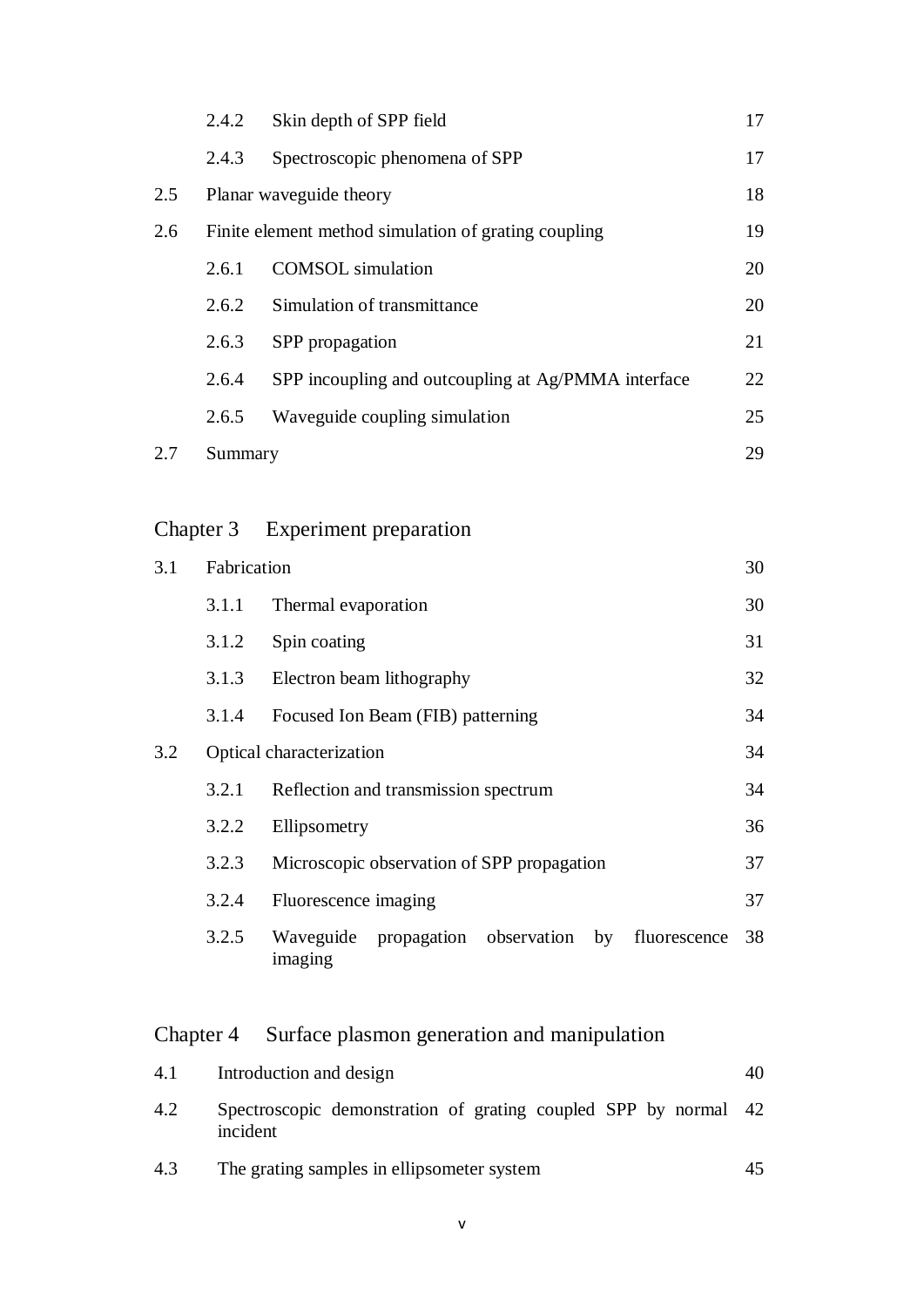|     | 2.4.2   | Skin depth of SPP field                              | 17 |
|-----|---------|------------------------------------------------------|----|
|     | 2.4.3   | Spectroscopic phenomena of SPP                       | 17 |
| 2.5 |         | Planar waveguide theory                              | 18 |
| 2.6 |         | Finite element method simulation of grating coupling | 19 |
|     | 2.6.1   | <b>COMSOL</b> simulation                             | 20 |
|     | 2.6.2   | Simulation of transmittance                          | 20 |
|     | 2.6.3   | SPP propagation                                      | 21 |
|     | 2.6.4   | SPP incoupling and outcoupling at Ag/PMMA interface  | 22 |
|     | 2.6.5   | Waveguide coupling simulation                        | 25 |
| 2.7 | Summary |                                                      | 29 |

## Chapter 3 Experiment preparation

| 3.1 | Fabrication              |                                                                 | 30 |
|-----|--------------------------|-----------------------------------------------------------------|----|
|     | 3.1.1                    | Thermal evaporation                                             | 30 |
|     | 3.1.2                    | Spin coating                                                    | 31 |
|     | 3.1.3                    | Electron beam lithography                                       | 32 |
|     | 3.1.4                    | Focused Ion Beam (FIB) patterning                               | 34 |
| 3.2 | Optical characterization |                                                                 |    |
|     | 3.2.1                    | Reflection and transmission spectrum                            | 34 |
|     | 3.2.2                    | Ellipsometry                                                    | 36 |
|     | 3.2.3                    | Microscopic observation of SPP propagation                      | 37 |
|     | 3.2.4                    | Fluorescence imaging                                            | 37 |
|     | 3.2.5                    | Waveguide propagation observation by<br>fluorescence<br>imaging | 38 |

# Chapter 4 Surface plasmon generation and manipulation

| 4.1 | Introduction and design                                                     | 40 |
|-----|-----------------------------------------------------------------------------|----|
| 4.2 | Spectroscopic demonstration of grating coupled SPP by normal 42<br>incident |    |
| 4.3 | The grating samples in ellipsometer system                                  | 45 |